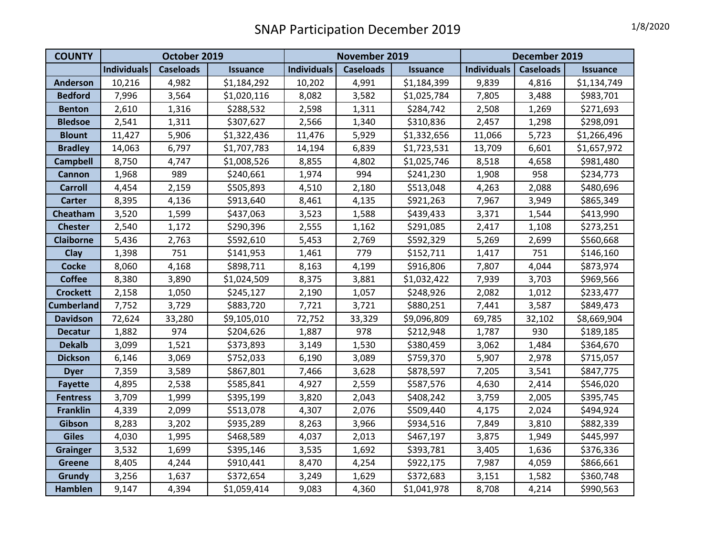## SNAP Participation December 2019 1/8/2020

| <b>COUNTY</b>     | October 2019       |                  |                 | November 2019      |                  |                 | December 2019      |                  |                 |
|-------------------|--------------------|------------------|-----------------|--------------------|------------------|-----------------|--------------------|------------------|-----------------|
|                   | <b>Individuals</b> | <b>Caseloads</b> | <b>Issuance</b> | <b>Individuals</b> | <b>Caseloads</b> | <b>Issuance</b> | <b>Individuals</b> | <b>Caseloads</b> | <b>Issuance</b> |
| <b>Anderson</b>   | 10,216             | 4,982            | \$1,184,292     | 10,202             | 4,991            | \$1,184,399     | 9,839              | 4,816            | \$1,134,749     |
| <b>Bedford</b>    | 7,996              | 3,564            | \$1,020,116     | 8,082              | 3,582            | \$1,025,784     | 7,805              | 3,488            | \$983,701       |
| <b>Benton</b>     | 2,610              | 1,316            | \$288,532       | 2,598              | 1,311            | \$284,742       | 2,508              | 1,269            | \$271,693       |
| <b>Bledsoe</b>    | 2,541              | 1,311            | \$307,627       | 2,566              | 1,340            | \$310,836       | 2,457              | 1,298            | \$298,091       |
| <b>Blount</b>     | 11,427             | 5,906            | \$1,322,436     | 11,476             | 5,929            | \$1,332,656     | 11,066             | 5,723            | \$1,266,496     |
| <b>Bradley</b>    | 14,063             | 6,797            | \$1,707,783     | 14,194             | 6,839            | \$1,723,531     | 13,709             | 6,601            | \$1,657,972     |
| <b>Campbell</b>   | 8,750              | 4,747            | \$1,008,526     | 8,855              | 4,802            | \$1,025,746     | 8,518              | 4,658            | \$981,480       |
| <b>Cannon</b>     | 1,968              | 989              | \$240,661       | 1,974              | 994              | \$241,230       | 1,908              | 958              | \$234,773       |
| <b>Carroll</b>    | 4,454              | 2,159            | \$505,893       | 4,510              | 2,180            | \$513,048       | 4,263              | 2,088            | \$480,696       |
| <b>Carter</b>     | 8,395              | 4,136            | \$913,640       | 8,461              | 4,135            | \$921,263       | 7,967              | 3,949            | \$865,349       |
| Cheatham          | 3,520              | 1,599            | \$437,063       | 3,523              | 1,588            | \$439,433       | 3,371              | 1,544            | \$413,990       |
| <b>Chester</b>    | 2,540              | 1,172            | \$290,396       | 2,555              | 1,162            | \$291,085       | 2,417              | 1,108            | \$273,251       |
| <b>Claiborne</b>  | 5,436              | 2,763            | \$592,610       | 5,453              | 2,769            | \$592,329       | 5,269              | 2,699            | \$560,668       |
| Clay              | 1,398              | 751              | \$141,953       | 1,461              | 779              | \$152,711       | 1,417              | 751              | \$146,160       |
| <b>Cocke</b>      | 8,060              | 4,168            | \$898,711       | 8,163              | 4,199            | \$916,806       | 7,807              | 4,044            | \$873,974       |
| <b>Coffee</b>     | 8,380              | 3,890            | \$1,024,509     | 8,375              | 3,881            | \$1,032,422     | 7,939              | 3,703            | \$969,566       |
| <b>Crockett</b>   | 2,158              | 1,050            | \$245,127       | 2,190              | 1,057            | \$248,926       | 2,082              | 1,012            | \$233,477       |
| <b>Cumberland</b> | 7,752              | 3,729            | \$883,720       | 7,721              | 3,721            | \$880,251       | 7,441              | 3,587            | \$849,473       |
| <b>Davidson</b>   | 72,624             | 33,280           | \$9,105,010     | 72,752             | 33,329           | \$9,096,809     | 69,785             | 32,102           | \$8,669,904     |
| <b>Decatur</b>    | 1,882              | 974              | \$204,626       | 1,887              | 978              | \$212,948       | 1,787              | 930              | \$189,185       |
| <b>Dekalb</b>     | 3,099              | 1,521            | \$373,893       | 3,149              | 1,530            | \$380,459       | 3,062              | 1,484            | \$364,670       |
| <b>Dickson</b>    | 6,146              | 3,069            | \$752,033       | 6,190              | 3,089            | \$759,370       | 5,907              | 2,978            | \$715,057       |
| <b>Dyer</b>       | 7,359              | 3,589            | \$867,801       | 7,466              | 3,628            | \$878,597       | 7,205              | 3,541            | \$847,775       |
| <b>Fayette</b>    | 4,895              | 2,538            | \$585,841       | 4,927              | 2,559            | \$587,576       | 4,630              | 2,414            | \$546,020       |
| <b>Fentress</b>   | 3,709              | 1,999            | \$395,199       | 3,820              | 2,043            | \$408,242       | 3,759              | 2,005            | \$395,745       |
| <b>Franklin</b>   | 4,339              | 2,099            | \$513,078       | 4,307              | 2,076            | \$509,440       | 4,175              | 2,024            | \$494,924       |
| Gibson            | 8,283              | 3,202            | \$935,289       | 8,263              | 3,966            | \$934,516       | 7,849              | 3,810            | \$882,339       |
| <b>Giles</b>      | 4,030              | 1,995            | \$468,589       | 4,037              | 2,013            | \$467,197       | 3,875              | 1,949            | \$445,997       |
| <b>Grainger</b>   | 3,532              | 1,699            | \$395,146       | 3,535              | 1,692            | \$393,781       | 3,405              | 1,636            | \$376,336       |
| <b>Greene</b>     | 8,405              | 4,244            | \$910,441       | 8,470              | 4,254            | \$922,175       | 7,987              | 4,059            | \$866,661       |
| Grundy            | 3,256              | 1,637            | \$372,654       | 3,249              | 1,629            | \$372,683       | 3,151              | 1,582            | \$360,748       |
| <b>Hamblen</b>    | 9,147              | 4,394            | \$1,059,414     | 9,083              | 4,360            | \$1,041,978     | 8,708              | 4,214            | \$990,563       |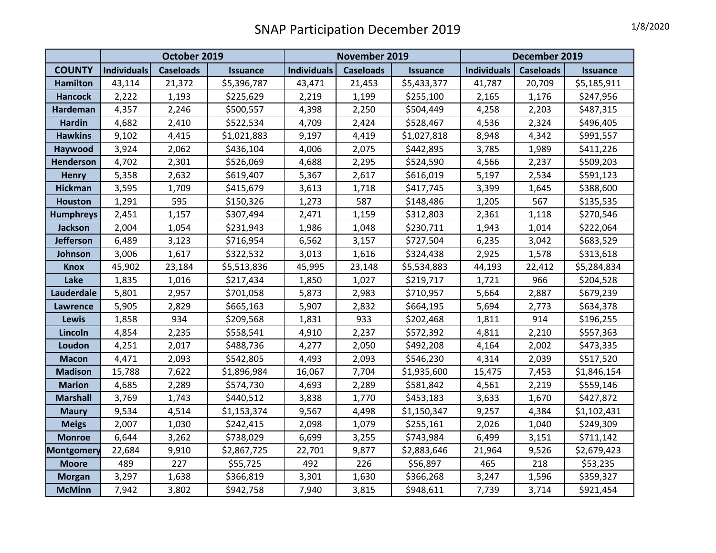## SNAP Participation December 2019

| 1/8/2020 |  |
|----------|--|
|----------|--|

|                   | October 2019 |                  |                 | November 2019      |                  |                 | December 2019      |                                     |             |  |
|-------------------|--------------|------------------|-----------------|--------------------|------------------|-----------------|--------------------|-------------------------------------|-------------|--|
| <b>COUNTY</b>     | Individuals  | <b>Caseloads</b> | <b>Issuance</b> | <b>Individuals</b> | <b>Caseloads</b> | <b>Issuance</b> | <b>Individuals</b> | <b>Caseloads</b><br><b>Issuance</b> |             |  |
| <b>Hamilton</b>   | 43,114       | 21,372           | \$5,396,787     | 43,471             | 21,453           | \$5,433,377     | 41,787             | 20,709                              | \$5,185,911 |  |
| <b>Hancock</b>    | 2,222        | 1,193            | \$225,629       | 2,219              | 1,199            | \$255,100       | 2,165              | 1,176                               | \$247,956   |  |
| Hardeman          | 4,357        | 2,246            | \$500,557       | 4,398              | 2,250            | \$504,449       | 4,258              | 2,203                               | \$487,315   |  |
| <b>Hardin</b>     | 4,682        | 2,410            | \$522,534       | 4,709              | 2,424            | \$528,467       | 4,536              | 2,324                               | \$496,405   |  |
| <b>Hawkins</b>    | 9,102        | 4,415            | \$1,021,883     | 9,197              | 4,419            | \$1,027,818     | 8,948              | 4,342                               | \$991,557   |  |
| Haywood           | 3,924        | 2,062            | \$436,104       | 4,006              | 2,075            | \$442,895       | 3,785              | 1,989                               | \$411,226   |  |
| <b>Henderson</b>  | 4,702        | 2,301            | \$526,069       | 4,688              | 2,295            | \$524,590       | 4,566              | 2,237                               | \$509,203   |  |
| <b>Henry</b>      | 5,358        | 2,632            | \$619,407       | 5,367              | 2,617            | \$616,019       | 5,197              | 2,534                               | \$591,123   |  |
| <b>Hickman</b>    | 3,595        | 1,709            | \$415,679       | 3,613              | 1,718            | \$417,745       | 3,399              | 1,645                               | \$388,600   |  |
| <b>Houston</b>    | 1,291        | 595              | \$150,326       | 1,273              | 587              | \$148,486       | 1,205              | 567                                 | \$135,535   |  |
| <b>Humphreys</b>  | 2,451        | 1,157            | \$307,494       | 2,471              | 1,159            | \$312,803       | 2,361              | 1,118                               | \$270,546   |  |
| <b>Jackson</b>    | 2,004        | 1,054            | \$231,943       | 1,986              | 1,048            | \$230,711       | 1,943              | 1,014                               | \$222,064   |  |
| <b>Jefferson</b>  | 6,489        | 3,123            | \$716,954       | 6,562              | 3,157            | \$727,504       | 6,235              | 3,042                               | \$683,529   |  |
| Johnson           | 3,006        | 1,617            | \$322,532       | 3,013              | 1,616            | \$324,438       | 2,925              | 1,578                               | \$313,618   |  |
| <b>Knox</b>       | 45,902       | 23,184           | \$5,513,836     | 45,995             | 23,148           | \$5,534,883     | 44,193             | 22,412                              | \$5,284,834 |  |
| Lake              | 1,835        | 1,016            | \$217,434       | 1,850              | 1,027            | \$219,717       | 1,721              | 966                                 | \$204,528   |  |
| Lauderdale        | 5,801        | 2,957            | \$701,058       | 5,873              | 2,983            | \$710,957       | 5,664              | 2,887                               | \$679,239   |  |
| <b>Lawrence</b>   | 5,905        | 2,829            | \$665,163       | 5,907              | 2,832            | \$664,195       | 5,694              | 2,773                               | \$634,378   |  |
| <b>Lewis</b>      | 1,858        | 934              | \$209,568       | 1,831              | 933              | \$202,468       | 1,811              | 914                                 | \$196,255   |  |
| Lincoln           | 4,854        | 2,235            | \$558,541       | 4,910              | 2,237            | \$572,392       | 4,811              | 2,210                               | \$557,363   |  |
| Loudon            | 4,251        | 2,017            | \$488,736       | 4,277              | 2,050            | \$492,208       | 4,164              | 2,002                               | \$473,335   |  |
| <b>Macon</b>      | 4,471        | 2,093            | \$542,805       | 4,493              | 2,093            | \$546,230       | 4,314              | 2,039                               | \$517,520   |  |
| <b>Madison</b>    | 15,788       | 7,622            | \$1,896,984     | 16,067             | 7,704            | \$1,935,600     | 15,475             | 7,453                               | \$1,846,154 |  |
| <b>Marion</b>     | 4,685        | 2,289            | \$574,730       | 4,693              | 2,289            | \$581,842       | 4,561              | 2,219                               | \$559,146   |  |
| <b>Marshall</b>   | 3,769        | 1,743            | \$440,512       | 3,838              | 1,770            | \$453,183       | 3,633              | 1,670                               | \$427,872   |  |
| <b>Maury</b>      | 9,534        | 4,514            | \$1,153,374     | 9,567              | 4,498            | \$1,150,347     | 9,257              | 4,384                               | \$1,102,431 |  |
| <b>Meigs</b>      | 2,007        | 1,030            | \$242,415       | 2,098              | 1,079            | \$255,161       | 2,026              | 1,040                               | \$249,309   |  |
| <b>Monroe</b>     | 6,644        | 3,262            | \$738,029       | 6,699              | 3,255            | \$743,984       | 6,499              | 3,151                               | \$711,142   |  |
| <b>Montgomery</b> | 22,684       | 9,910            | \$2,867,725     | 22,701             | 9,877            | \$2,883,646     | 21,964             | 9,526                               | \$2,679,423 |  |
| <b>Moore</b>      | 489          | 227              | \$55,725        | 492                | 226              | \$56,897        | 465                | 218                                 | \$53,235    |  |
| <b>Morgan</b>     | 3,297        | 1,638            | \$366,819       | 3,301              | 1,630            | \$366,268       | 3,247              | 1,596                               | \$359,327   |  |
| <b>McMinn</b>     | 7,942        | 3,802            | \$942,758       | 7,940              | 3,815            | \$948,611       | 7,739              | 3,714                               | \$921,454   |  |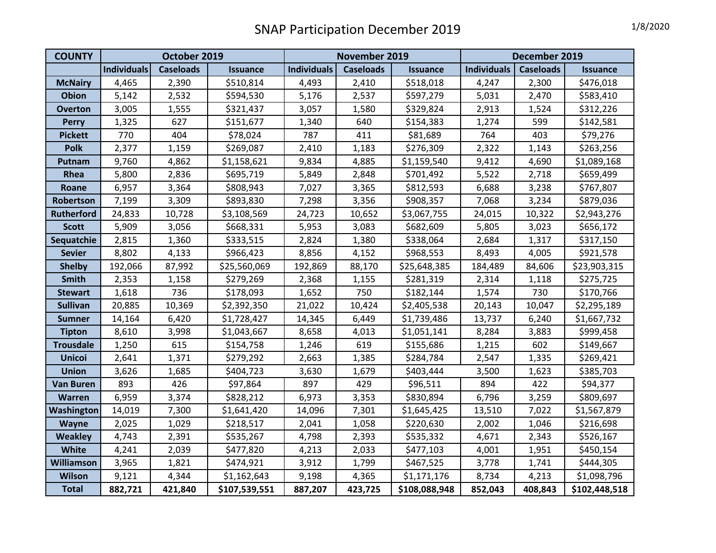## SNAP Participation December 2019 1/8/2020

| <b>COUNTY</b>     | October 2019       |                  |                 | November 2019      |                  |                 | December 2019      |                  |                 |
|-------------------|--------------------|------------------|-----------------|--------------------|------------------|-----------------|--------------------|------------------|-----------------|
|                   | <b>Individuals</b> | <b>Caseloads</b> | <b>Issuance</b> | <b>Individuals</b> | <b>Caseloads</b> | <b>Issuance</b> | <b>Individuals</b> | <b>Caseloads</b> | <b>Issuance</b> |
| <b>McNairy</b>    | 4,465              | 2,390            | \$510,814       | 4,493              | 2,410            | \$518,018       | 4,247              | 2,300            | \$476,018       |
| <b>Obion</b>      | 5,142              | 2,532            | \$594,530       | 5,176              | 2,537            | \$597,279       | 5,031              | 2,470            | \$583,410       |
| <b>Overton</b>    | 3,005              | 1,555            | \$321,437       | 3,057              | 1,580            | \$329,824       | 2,913              | 1,524            | \$312,226       |
| <b>Perry</b>      | 1,325              | 627              | \$151,677       | 1,340              | 640              | \$154,383       | 1,274              | 599              | \$142,581       |
| <b>Pickett</b>    | 770                | 404              | \$78,024        | 787                | 411              | \$81,689        | 764                | 403              | \$79,276        |
| <b>Polk</b>       | 2,377              | 1,159            | \$269,087       | 2,410              | 1,183            | \$276,309       | 2,322              | 1,143            | \$263,256       |
| Putnam            | 9,760              | 4,862            | \$1,158,621     | 9,834              | 4,885            | \$1,159,540     | 9,412              | 4,690            | \$1,089,168     |
| Rhea              | 5,800              | 2,836            | \$695,719       | 5,849              | 2,848            | \$701,492       | 5,522              | 2,718            | \$659,499       |
| Roane             | 6,957              | 3,364            | \$808,943       | 7,027              | 3,365            | \$812,593       | 6,688              | 3,238            | \$767,807       |
| Robertson         | 7,199              | 3,309            | \$893,830       | 7,298              | 3,356            | \$908,357       | 7,068              | 3,234            | \$879,036       |
| <b>Rutherford</b> | 24,833             | 10,728           | \$3,108,569     | 24,723             | 10,652           | \$3,067,755     | 24,015             | 10,322           | \$2,943,276     |
| <b>Scott</b>      | 5,909              | 3,056            | \$668,331       | 5,953              | 3,083            | \$682,609       | 5,805              | 3,023            | \$656,172       |
| Sequatchie        | 2,815              | 1,360            | \$333,515       | 2,824              | 1,380            | \$338,064       | 2,684              | 1,317            | \$317,150       |
| <b>Sevier</b>     | 8,802              | 4,133            | \$966,423       | 8,856              | 4,152            | \$968,553       | 8,493              | 4,005            | \$921,578       |
| <b>Shelby</b>     | 192,066            | 87,992           | \$25,560,069    | 192,869            | 88,170           | \$25,648,385    | 184,489            | 84,606           | \$23,903,315    |
| <b>Smith</b>      | 2,353              | 1,158            | \$279,269       | 2,368              | 1,155            | \$281,319       | 2,314              | 1,118            | \$275,725       |
| <b>Stewart</b>    | 1,618              | 736              | \$178,093       | 1,652              | 750              | \$182,144       | 1,574              | 730              | \$170,766       |
| <b>Sullivan</b>   | 20,885             | 10,369           | \$2,392,350     | 21,022             | 10,424           | \$2,405,538     | 20,143             | 10,047           | \$2,295,189     |
| <b>Sumner</b>     | 14,164             | 6,420            | \$1,728,427     | 14,345             | 6,449            | \$1,739,486     | 13,737             | 6,240            | \$1,667,732     |
| <b>Tipton</b>     | 8,610              | 3,998            | \$1,043,667     | 8,658              | 4,013            | \$1,051,141     | 8,284              | 3,883            | \$999,458       |
| <b>Trousdale</b>  | 1,250              | 615              | \$154,758       | 1,246              | 619              | \$155,686       | 1,215              | 602              | \$149,667       |
| <b>Unicoi</b>     | 2,641              | 1,371            | \$279,292       | 2,663              | 1,385            | \$284,784       | 2,547              | 1,335            | \$269,421       |
| <b>Union</b>      | 3,626              | 1,685            | \$404,723       | 3,630              | 1,679            | \$403,444       | 3,500              | 1,623            | \$385,703       |
| <b>Van Buren</b>  | 893                | 426              | \$97,864        | 897                | 429              | \$96,511        | 894                | 422              | \$94,377        |
| Warren            | 6,959              | 3,374            | \$828,212       | 6,973              | 3,353            | \$830,894       | 6,796              | 3,259            | \$809,697       |
| <b>Washington</b> | 14,019             | 7,300            | \$1,641,420     | 14,096             | 7,301            | \$1,645,425     | 13,510             | 7,022            | \$1,567,879     |
| <b>Wayne</b>      | 2,025              | 1,029            | \$218,517       | 2,041              | 1,058            | \$220,630       | 2,002              | 1,046            | \$216,698       |
| <b>Weakley</b>    | 4,743              | 2,391            | \$535,267       | 4,798              | 2,393            | \$535,332       | 4,671              | 2,343            | \$526,167       |
| <b>White</b>      | 4,241              | 2,039            | \$477,820       | 4,213              | 2,033            | \$477,103       | 4,001              | 1,951            | \$450,154       |
| Williamson        | 3,965              | 1,821            | \$474,921       | 3,912              | 1,799            | \$467,525       | 3,778              | 1,741            | \$444,305       |
| <b>Wilson</b>     | 9,121              | 4,344            | \$1,162,643     | 9,198              | 4,365            | \$1,171,176     | 8,734              | 4,213            | \$1,098,796     |
| <b>Total</b>      | 882,721            | 421,840          | \$107,539,551   | 887,207            | 423,725          | \$108,088,948   | 852,043            | 408,843          | \$102,448,518   |